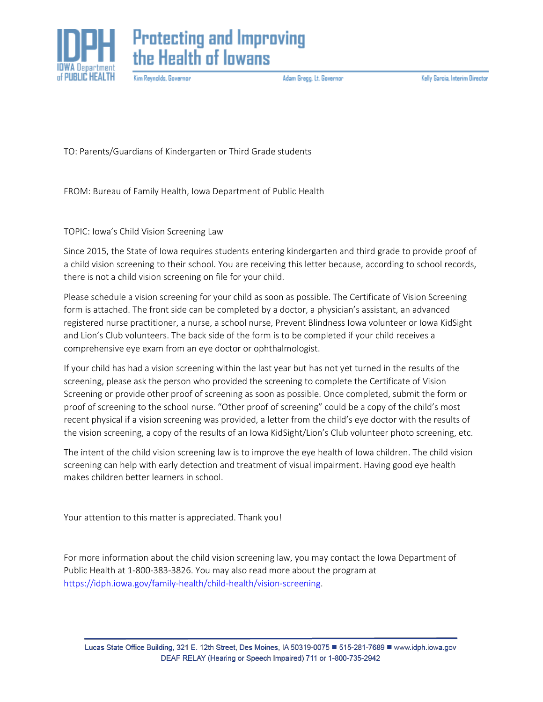



Kim Reynolds, Governor

Adam Gregg. Lt. Governor

Kelly Garcia, Interim Director

TO: Parents/Guardians of Kindergarten or Third Grade students

FROM: Bureau of Family Health, Iowa Department of Public Health

TOPIC: Iowa's Child Vision Screening Law

Since 2015, the State of Iowa requires students entering kindergarten and third grade to provide proof of a child vision screening to their school. You are receiving this letter because, according to school records, there is not a child vision screening on file for your child.

Please schedule a vision screening for your child as soon as possible. The Certificate of Vision Screening form is attached. The front side can be completed by a doctor, a physician's assistant, an advanced registered nurse practitioner, a nurse, a school nurse, Prevent Blindness Iowa volunteer or Iowa KidSight and Lion's Club volunteers. The back side of the form is to be completed if your child receives a comprehensive eye exam from an eye doctor or ophthalmologist.

If your child has had a vision screening within the last year but has not yet turned in the results of the screening, please ask the person who provided the screening to complete the Certificate of Vision Screening or provide other proof of screening as soon as possible. Once completed, submit the form or proof of screening to the school nurse. "Other proof of screening" could be a copy of the child's most recent physical if a vision screening was provided, a letter from the child's eye doctor with the results of the vision screening, a copy of the results of an Iowa KidSight/Lion's Club volunteer photo screening, etc.

The intent of the child vision screening law is to improve the eye health of Iowa children. The child vision screening can help with early detection and treatment of visual impairment. Having good eye health makes children better learners in school.

Your attention to this matter is appreciated. Thank you!

For more information about the child vision screening law, you may contact the Iowa Department of Public Health at 1-800-383-3826. You may also read more about the program at [https://idph.iowa.gov/family-health/child-health/vision-screening.](https://idph.iowa.gov/family-health/child-health/vision-screening)

Lucas State Office Building, 321 E. 12th Street, Des Moines, IA 50319-0075 ■ 515-281-7689 ■ www.idph.iowa.gov DEAF RELAY (Hearing or Speech Impaired) 711 or 1-800-735-2942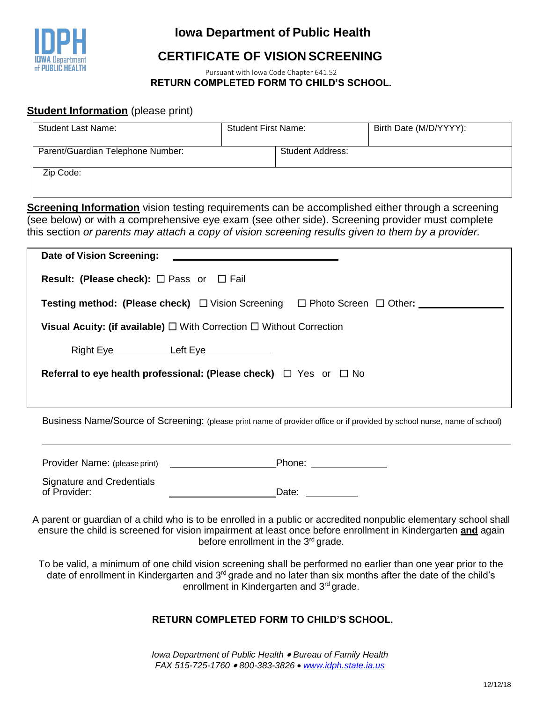

## **Iowa Department of Public Health**

# **CERTIFICATE OF VISION SCREENING**

Pursuant with Iowa Code Chapter 641.52 **RETURN COMPLETED FORM TO CHILD'S SCHOOL.**

#### **Student Information** (please print)

| <b>Student Last Name:</b>         | <b>Student First Name:</b> |                         | Birth Date (M/D/YYYY): |
|-----------------------------------|----------------------------|-------------------------|------------------------|
| Parent/Guardian Telephone Number: |                            | <b>Student Address:</b> |                        |
| Zip Code:                         |                            |                         |                        |

**Screening Information** vision testing requirements can be accomplished either through a screening (see below) or with a comprehensive eye exam (see other side). Screening provider must complete this section *or parents may attach a copy of vision screening results given to them by a provider.*

| Date of Vision Screening:                                                                                       |  |  |  |
|-----------------------------------------------------------------------------------------------------------------|--|--|--|
| <b>Result: (Please check):</b> $\Box$ Pass or $\Box$ Fail                                                       |  |  |  |
| <b>Testing method: (Please check)</b> $\Box$ Vision Screening $\Box$ Photo Screen $\Box$ Other: _______________ |  |  |  |
| <b>Visual Acuity: (if available)</b> $\Box$ With Correction $\Box$ Without Correction                           |  |  |  |
| Right Eye______________Left Eye______________                                                                   |  |  |  |
| Referral to eye health professional: (Please check) $\Box$ Yes or $\Box$ No                                     |  |  |  |
|                                                                                                                 |  |  |  |
|                                                                                                                 |  |  |  |

Business Name/Source of Screening: (please print name of provider office or if provided by school nurse, name of school)

| Provider Name: (please print)             | Phone: |  |
|-------------------------------------------|--------|--|
| Signature and Credentials<br>of Provider: | Date:  |  |

A parent or guardian of a child who is to be enrolled in a public or accredited nonpublic elementary school shall ensure the child is screened for vision impairment at least once before enrollment in Kindergarten **and** again before enrollment in the 3<sup>rd</sup> grade.

To be valid, a minimum of one child vision screening shall be performed no earlier than one year prior to the date of enrollment in Kindergarten and 3<sup>rd</sup> grade and no later than six months after the date of the child's enrollment in Kindergarten and 3<sup>rd</sup> grade.

### **RETURN COMPLETED FORM TO CHILD'S SCHOOL.**

*Iowa Department of Public Health Bureau of Family Health FAX 515-725-1760 800-383-3826 [www.idph.state.ia.us](http://www.idph.state.ia.us/ohds/Oralhealth.aspx)*